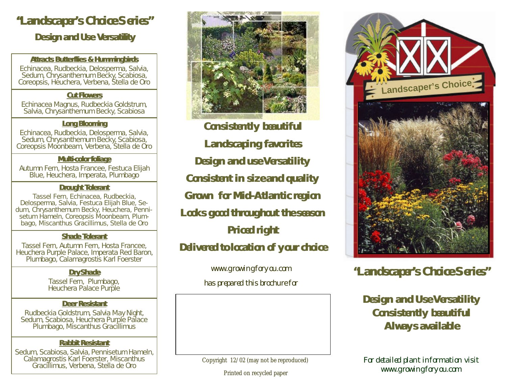# **"Landscaper's Choice Series"**

*Design and Use Versatility*

#### **Attracts Butterflies & Hummingbirds**

Echinacea, Rudbeckia, Delosperma, Salvia, Sedum, Chrysanthemum Becky, Scabiosa, Coreopsis, Heuchera, Verbena, Stella de Oro

#### **Cut Flowers**

Echinacea Magnus, Rudbeckia Goldstrum, Salvia, Chrysanthemum Becky, Scabiosa

#### **Long Blooming**

Echinacea, Rudbeckia, Delosperma, Salvia, Sedum, Chrysanthemum Becky, Scabiosa, Coreopsis Moonbeam, Verbena, Stella de Oro

#### **Multi-color foliage**

Autumn Fern, Hosta Francee, Festuca Elijah Blue, Heuchera, Imperata, Plumbago

#### **Drought Tolerant**

Tassel Fern, Echinacea, Rudbeckia, Delosperma, Salvia, Festuca Elijah Blue, Sedum, Chrysanthemum Becky, Heuchera, Pennisetum Hameln, Coreopsis Moonbeam, Plumbago, Miscanthus Gracillimus, Stella de Oro

### **Shade Tolerant**

Tassel Fern, Autumn Fern, Hosta Francee, Heuchera Purple Palace, Imperata Red Baron, Plumbago, Calamagrostis Karl Foerster

### **Dry Shade**

Tassel Fern, Plumbago, Heuchera Palace Purple

### **Deer Resistant**

Rudbeckia Goldstrum, Salvia May Night, Sedum, Scabiosa, Heuchera Purple Palace Plumbago, Miscanthus Gracillimus

### **Rabbit Resistant**

Sedum, Scabiosa, Salvia, Pennisetum Hameln, Calamagrostis Karl Foerster, Miscanthus Gracillimus, Verbena, Stella de Oro



**Consistently beautiful Landscaping favorites Design and use Versatility Consistent in size and quality Grown for Mid-Atlantic region Looks good throughout the season Priced right Delivered to location of your choice**

> www.growingforyou.com has prepared this brochure for

Copyright 12/02 (may not be reproduced)

Printed on recycled paper



## **"Landscaper's Choice Series"**

## **Design and Use Versatility Consistently beautiful Always available**

For detailed plant information visit www.growingforyou.com